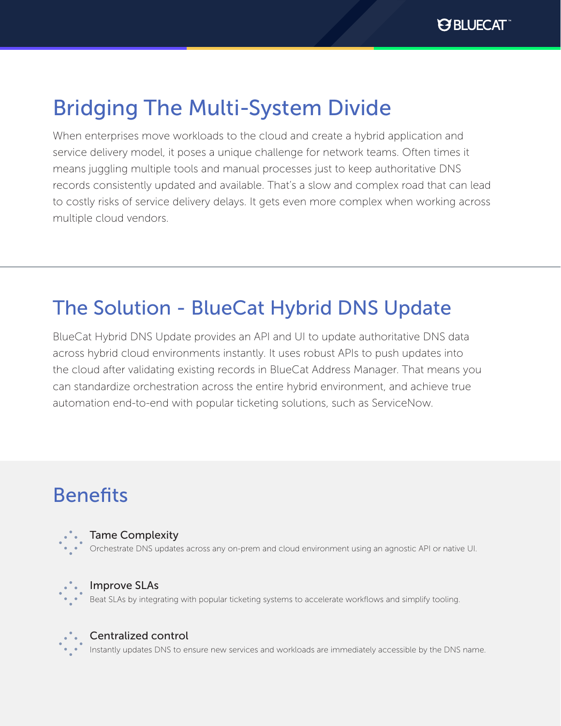# Bridging The Multi-System Divide

When enterprises move workloads to the cloud and create a hybrid application and service delivery model, it poses a unique challenge for network teams. Often times it means juggling multiple tools and manual processes just to keep authoritative DNS records consistently updated and available. That's a slow and complex road that can lead to costly risks of service delivery delays. It gets even more complex when working across multiple cloud vendors.

## The Solution - BlueCat Hybrid DNS Update

BlueCat Hybrid DNS Update provides an API and UI to update authoritative DNS data across hybrid cloud environments instantly. It uses robust APIs to push updates into the cloud after validating existing records in BlueCat Address Manager. That means you can standardize orchestration across the entire hybrid environment, and achieve true automation end-to-end with popular ticketing solutions, such as ServiceNow.

## Benefits



#### Tame Complexity

Orchestrate DNS updates across any on-prem and cloud environment using an agnostic API or native UI.



#### Improve SLAs

Beat SLAs by integrating with popular ticketing systems to accelerate workflows and simplify tooling.



#### Centralized control

Instantly updates DNS to ensure new services and workloads are immediately accessible by the DNS name.